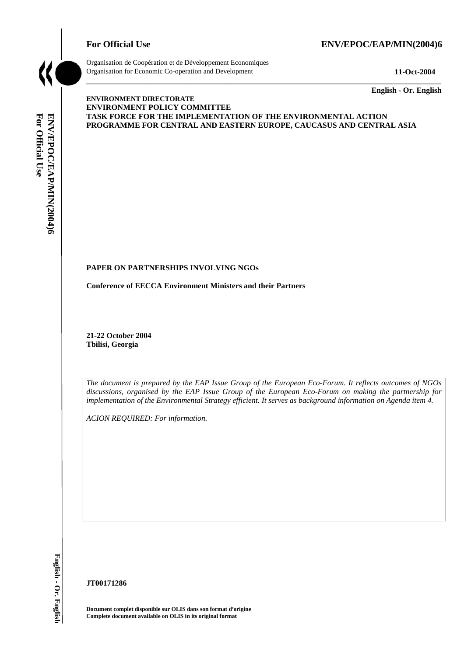# For Official Use ENV/EPOC/EAP/MIN(2004)6



Organisation de Coopération et de Développement Economiques Organisation for Economic Co-operation and Development **11-Oct-2004** 

\_\_\_\_\_\_\_\_\_\_\_\_\_ **English - Or. English** 

# For Official Use ENV/EPOC/EAP/MIN(2004)6 **For Official Use ENV/EPOC/EAP/MIN(2004)6 English - Or. English**

#### **ENVIRONMENT DIRECTORATE ENVIRONMENT POLICY COMMITTEE TASK FORCE FOR THE IMPLEMENTATION OF THE ENVIRONMENTAL ACTION PROGRAMME FOR CENTRAL AND EASTERN EUROPE, CAUCASUS AND CENTRAL ASIA**

\_\_\_\_\_\_\_\_\_\_\_\_\_\_\_\_\_\_\_\_\_\_\_\_\_\_\_\_\_\_\_\_\_\_\_\_\_\_\_\_\_\_\_\_\_\_\_\_\_\_\_\_\_\_\_\_\_\_\_\_\_\_\_\_\_\_\_\_\_\_\_\_\_\_\_\_\_\_\_\_\_\_\_\_\_\_\_\_\_\_\_

## **PAPER ON PARTNERSHIPS INVOLVING NGOs**

**Conference of EECCA Environment Ministers and their Partners** 

**21-22 October 2004 Tbilisi, Georgia** 

*The document is prepared by the EAP Issue Group of the European Eco-Forum. It reflects outcomes of NGOs discussions, organised by the EAP Issue Group of the European Eco-Forum on making the partnership for*  implementation of the Environmental Strategy efficient. It serves as background information on Agenda item 4.

*ACION REQUIRED: For information.* 

**JT00171286** 

**Document complet disponible sur OLIS dans son format d'origine Complete document available on OLIS in its original format**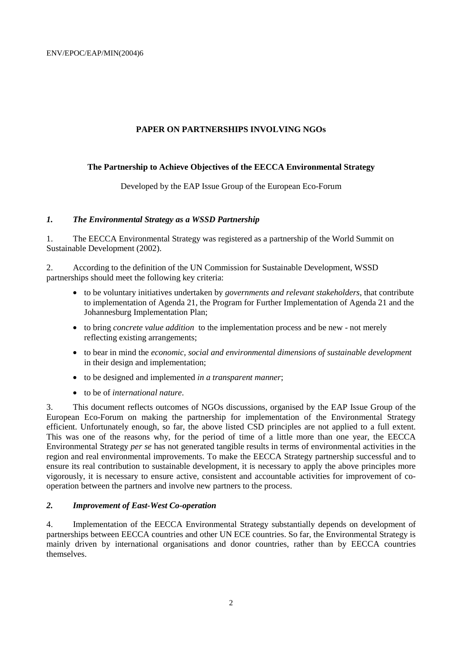## **PAPER ON PARTNERSHIPS INVOLVING NGOs**

#### **The Partnership to Achieve Objectives of the EECCA Environmental Strategy**

Developed by the EAP Issue Group of the European Eco-Forum

#### *1. The Environmental Strategy as a WSSD Partnership*

1. The EECCA Environmental Strategy was registered as a partnership of the World Summit on Sustainable Development (2002).

2. According to the definition of the UN Commission for Sustainable Development, WSSD partnerships should meet the following key criteria:

- to be voluntary initiatives undertaken by *governments and relevant stakeholders*, that contribute to implementation of Agenda 21, the Program for Further Implementation of Agenda 21 and the Johannesburg Implementation Plan;
- to bring *concrete value addition* to the implementation process and be new not merely reflecting existing arrangements;
- to bear in mind the *economic, social and environmental dimensions of sustainable development* in their design and implementation;
- to be designed and implemented *in a transparent manner*;
- to be of *international nature*.

3. This document reflects outcomes of NGOs discussions, organised by the EAP Issue Group of the European Eco-Forum on making the partnership for implementation of the Environmental Strategy efficient. Unfortunately enough, so far, the above listed CSD principles are not applied to a full extent. This was one of the reasons why, for the period of time of a little more than one year, the EECCA Environmental Strategy *per se* has not generated tangible results in terms of environmental activities in the region and real environmental improvements. To make the EECCA Strategy partnership successful and to ensure its real contribution to sustainable development, it is necessary to apply the above principles more vigorously, it is necessary to ensure active, consistent and accountable activities for improvement of cooperation between the partners and involve new partners to the process.

#### *2. Improvement of East-West Co-operation*

4. Implementation of the EECCA Environmental Strategy substantially depends on development of partnerships between EECCA countries and other UN ECE countries. So far, the Environmental Strategy is mainly driven by international organisations and donor countries, rather than by EECCA countries themselves.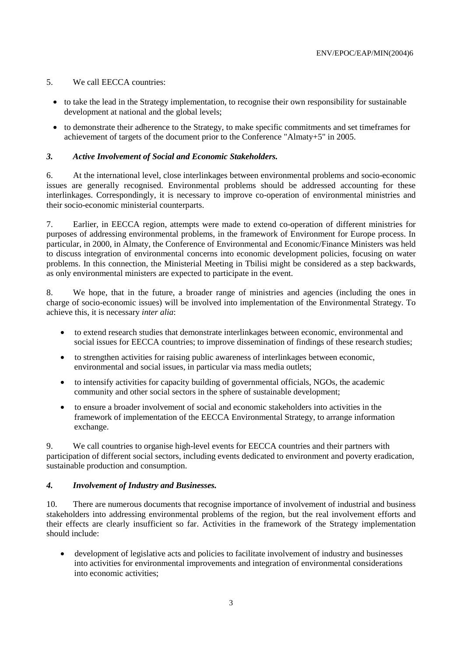#### 5. We call EECCA countries:

- to take the lead in the Strategy implementation, to recognise their own responsibility for sustainable development at national and the global levels;
- to demonstrate their adherence to the Strategy, to make specific commitments and set timeframes for achievement of targets of the document prior to the Conference "Almaty+5" in 2005.

#### *3. Active Involvement of Social and Economic Stakeholders.*

6. At the international level, close interlinkages between environmental problems and socio-economic issues are generally recognised. Environmental problems should be addressed accounting for these interlinkages. Correspondingly, it is necessary to improve co-operation of environmental ministries and their socio-economic ministerial counterparts.

7. Earlier, in EECCA region, attempts were made to extend co-operation of different ministries for purposes of addressing environmental problems, in the framework of Environment for Europe process. In particular, in 2000, in Almaty, the Conference of Environmental and Economic/Finance Ministers was held to discuss integration of environmental concerns into economic development policies, focusing on water problems. In this connection, the Ministerial Meeting in Tbilisi might be considered as a step backwards, as only environmental ministers are expected to participate in the event.

8. We hope, that in the future, a broader range of ministries and agencies (including the ones in charge of socio-economic issues) will be involved into implementation of the Environmental Strategy. To achieve this, it is necessary *inter alia*:

- to extend research studies that demonstrate interlinkages between economic, environmental and social issues for EECCA countries; to improve dissemination of findings of these research studies;
- to strengthen activities for raising public awareness of interlinkages between economic, environmental and social issues, in particular via mass media outlets;
- to intensify activities for capacity building of governmental officials, NGOs, the academic community and other social sectors in the sphere of sustainable development;
- to ensure a broader involvement of social and economic stakeholders into activities in the framework of implementation of the EECCA Environmental Strategy, to arrange information exchange.

9. We call countries to organise high-level events for EECCA countries and their partners with participation of different social sectors, including events dedicated to environment and poverty eradication, sustainable production and consumption.

#### *4. Involvement of Industry and Businesses.*

10. There are numerous documents that recognise importance of involvement of industrial and business stakeholders into addressing environmental problems of the region, but the real involvement efforts and their effects are clearly insufficient so far. Activities in the framework of the Strategy implementation should include:

 development of legislative acts and policies to facilitate involvement of industry and businesses into activities for environmental improvements and integration of environmental considerations into economic activities;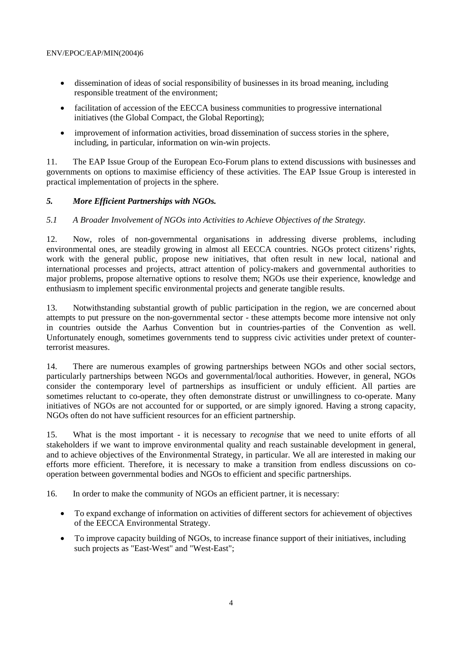- dissemination of ideas of social responsibility of businesses in its broad meaning, including responsible treatment of the environment;
- facilitation of accession of the EECCA business communities to progressive international initiatives (the Global Compact, the Global Reporting);
- improvement of information activities, broad dissemination of success stories in the sphere, including, in particular, information on win-win projects.

11. The EAP Issue Group of the European Eco-Forum plans to extend discussions with businesses and governments on options to maximise efficiency of these activities. The EAP Issue Group is interested in practical implementation of projects in the sphere.

# *5. More Efficient Partnerships with NGOs.*

## *5.1 A Broader Involvement of NGOs into Activities to Achieve Objectives of the Strategy.*

12. Now, roles of non-governmental organisations in addressing diverse problems, including environmental ones, are steadily growing in almost all EECCA countries. NGOs protect citizens' rights, work with the general public, propose new initiatives, that often result in new local, national and international processes and projects, attract attention of policy-makers and governmental authorities to major problems, propose alternative options to resolve them; NGOs use their experience, knowledge and enthusiasm to implement specific environmental projects and generate tangible results.

13. Notwithstanding substantial growth of public participation in the region, we are concerned about attempts to put pressure on the non-governmental sector - these attempts become more intensive not only in countries outside the Aarhus Convention but in countries-parties of the Convention as well. Unfortunately enough, sometimes governments tend to suppress civic activities under pretext of counterterrorist measures.

14. There are numerous examples of growing partnerships between NGOs and other social sectors, particularly partnerships between NGOs and governmental/local authorities. However, in general, NGOs consider the contemporary level of partnerships as insufficient or unduly efficient. All parties are sometimes reluctant to co-operate, they often demonstrate distrust or unwillingness to co-operate. Many initiatives of NGOs are not accounted for or supported, or are simply ignored. Having a strong capacity, NGOs often do not have sufficient resources for an efficient partnership.

15. What is the most important - it is necessary to *recognise* that we need to unite efforts of all stakeholders if we want to improve environmental quality and reach sustainable development in general, and to achieve objectives of the Environmental Strategy, in particular. We all are interested in making our efforts more efficient. Therefore, it is necessary to make a transition from endless discussions on cooperation between governmental bodies and NGOs to efficient and specific partnerships.

16. In order to make the community of NGOs an efficient partner, it is necessary:

- To expand exchange of information on activities of different sectors for achievement of objectives of the EECCA Environmental Strategy.
- To improve capacity building of NGOs, to increase finance support of their initiatives, including such projects as "East-West" and "West-East";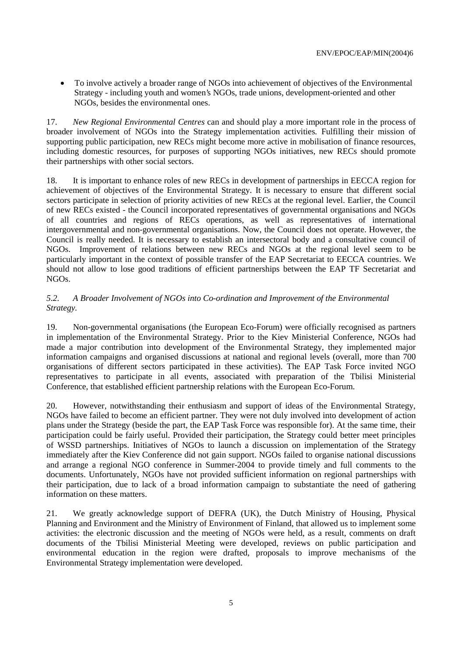To involve actively a broader range of NGOs into achievement of objectives of the Environmental Strategy - including youth and women's NGOs, trade unions, development-oriented and other NGOs, besides the environmental ones.

17. *New Regional Environmental Centres* can and should play a more important role in the process of broader involvement of NGOs into the Strategy implementation activities*.* Fulfilling their mission of supporting public participation, new RECs might become more active in mobilisation of finance resources, including domestic resources, for purposes of supporting NGOs initiatives, new RECs should promote their partnerships with other social sectors.

18. It is important to enhance roles of new RECs in development of partnerships in EECCA region for achievement of objectives of the Environmental Strategy. It is necessary to ensure that different social sectors participate in selection of priority activities of new RECs at the regional level. Earlier, the Council of new RECs existed - the Council incorporated representatives of governmental organisations and NGOs of all countries and regions of RECs operations, as well as representatives of international intergovernmental and non-governmental organisations. Now, the Council does not operate. However, the Council is really needed. It is necessary to establish an intersectoral body and a consultative council of NGOs. Improvement of relations between new RECs and NGOs at the regional level seem to be particularly important in the context of possible transfer of the EAP Secretariat to EECCA countries. We should not allow to lose good traditions of efficient partnerships between the EAP TF Secretariat and NGOs.

# *5.2. A Broader Involvement of NGOs into Co-ordination and Improvement of the Environmental Strategy.*

19. Non-governmental organisations (the European Eco-Forum) were officially recognised as partners in implementation of the Environmental Strategy. Prior to the Kiev Ministerial Conference, NGOs had made a major contribution into development of the Environmental Strategy, they implemented major information campaigns and organised discussions at national and regional levels (overall, more than 700 organisations of different sectors participated in these activities). The EAP Task Force invited NGO representatives to participate in all events, associated with preparation of the Tbilisi Ministerial Conference, that established efficient partnership relations with the European Eco-Forum.

20. However, notwithstanding their enthusiasm and support of ideas of the Environmental Strategy, NGOs have failed to become an efficient partner. They were not duly involved into development of action plans under the Strategy (beside the part, the EAP Task Force was responsible for). At the same time, their participation could be fairly useful. Provided their participation, the Strategy could better meet principles of WSSD partnerships. Initiatives of NGOs to launch a discussion on implementation of the Strategy immediately after the Kiev Conference did not gain support. NGOs failed to organise national discussions and arrange a regional NGO conference in Summer-2004 to provide timely and full comments to the documents. Unfortunately, NGOs have not provided sufficient information on regional partnerships with their participation, due to lack of a broad information campaign to substantiate the need of gathering information on these matters.

21. We greatly acknowledge support of DEFRA (UK), the Dutch Ministry of Housing, Physical Planning and Environment and the Ministry of Environment of Finland, that allowed us to implement some activities: the electronic discussion and the meeting of NGOs were held, as a result, comments on draft documents of the Tbilisi Ministerial Meeting were developed, reviews on public participation and environmental education in the region were drafted, proposals to improve mechanisms of the Environmental Strategy implementation were developed.